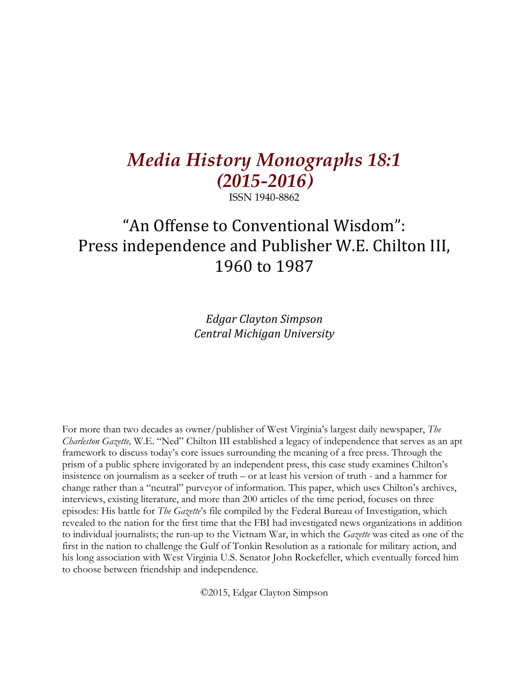# *Media History Monographs 18:1 (2015-2016)*

ISSN 1940-8862

## "An Offense to Conventional Wisdom": Press independence and Publisher W.E. Chilton III, 1960 to 1987

*Edgar Clayton Simpson Central Michigan University*

For more than two decades as owner/publisher of West Virginia's largest daily newspaper, *The Charleston Gazette,* W.E. "Ned" Chilton III established a legacy of independence that serves as an apt framework to discuss today's core issues surrounding the meaning of a free press. Through the prism of a public sphere invigorated by an independent press, this case study examines Chilton's insistence on journalism as a seeker of truth – or at least his version of truth - and a hammer for change rather than a "neutral" purveyor of information. This paper, which uses Chilton's archives, interviews, existing literature, and more than 200 articles of the time period, focuses on three episodes: His battle for *The Gazette*'s file compiled by the Federal Bureau of Investigation, which revealed to the nation for the first time that the FBI had investigated news organizations in addition to individual journalists; the run-up to the Vietnam War, in which the *Gazette* was cited as one of the first in the nation to challenge the Gulf of Tonkin Resolution as a rationale for military action, and his long association with West Virginia U.S. Senator John Rockefeller, which eventually forced him to choose between friendship and independence.

©2015, Edgar Clayton Simpson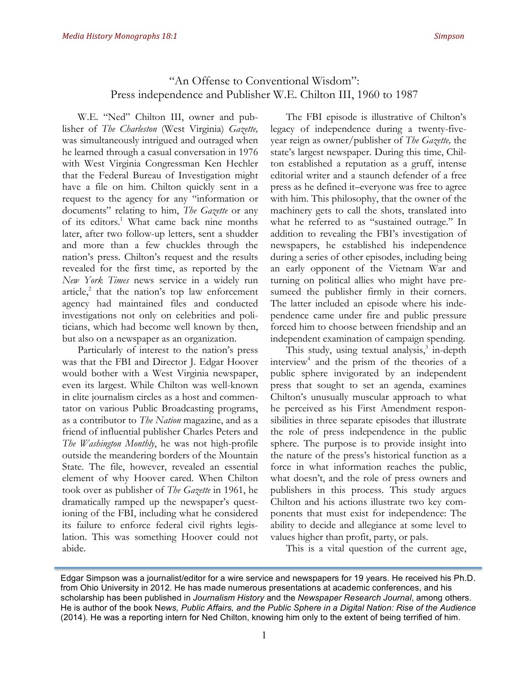### "An Offense to Conventional Wisdom": Press independence and Publisher W.E. Chilton III, 1960 to 1987

W.E. "Ned" Chilton III, owner and publisher of *The Charleston* (West Virginia) *Gazette,* was simultaneously intrigued and outraged when he learned through a casual conversation in 1976 with West Virginia Congressman Ken Hechler that the Federal Bureau of Investigation might have a file on him. Chilton quickly sent in a request to the agency for any "information or documents" relating to him, *The Gazette* or any of its editors.<sup>1</sup> What came back nine months later, after two follow-up letters, sent a shudder and more than a few chuckles through the nation's press. Chilton's request and the results revealed for the first time, as reported by the *New York Times* news service in a widely run article, $^2$  that the nation's top law enforcement agency had maintained files and conducted investigations not only on celebrities and politicians, which had become well known by then, but also on a newspaper as an organization.

Particularly of interest to the nation's press was that the FBI and Director J. Edgar Hoover would bother with a West Virginia newspaper, even its largest. While Chilton was well-known in elite journalism circles as a host and commentator on various Public Broadcasting programs, as a contributor to *The Nation* magazine, and as a friend of influential publisher Charles Peters and *The Washington Monthly*, he was not high-profile outside the meandering borders of the Mountain State. The file, however, revealed an essential element of why Hoover cared. When Chilton took over as publisher of *The Gazette* in 1961, he dramatically ramped up the newspaper's questioning of the FBI, including what he considered its failure to enforce federal civil rights legislation. This was something Hoover could not abide.

The FBI episode is illustrative of Chilton's legacy of independence during a twenty-fiveyear reign as owner/publisher of *The Gazette,* the state's largest newspaper. During this time, Chilton established a reputation as a gruff, intense editorial writer and a staunch defender of a free press as he defined it–everyone was free to agree with him. This philosophy, that the owner of the machinery gets to call the shots, translated into what he referred to as "sustained outrage." In addition to revealing the FBI's investigation of newspapers, he established his independence during a series of other episodes, including being an early opponent of the Vietnam War and turning on political allies who might have presumeed the publisher firmly in their corners. The latter included an episode where his independence came under fire and public pressure forced him to choose between friendship and an independent examination of campaign spending.

This study, using textual analysis, <sup>3</sup> in-depth interview<sup>4</sup> and the prism of the theories of a public sphere invigorated by an independent press that sought to set an agenda, examines Chilton's unusually muscular approach to what he perceived as his First Amendment responsibilities in three separate episodes that illustrate the role of press independence in the public sphere. The purpose is to provide insight into the nature of the press's historical function as a force in what information reaches the public, what doesn't, and the role of press owners and publishers in this process. This study argues Chilton and his actions illustrate two key components that must exist for independence: The ability to decide and allegiance at some level to values higher than profit, party, or pals.

This is a vital question of the current age,

Edgar Simpson was a journalist/editor for a wire service and newspapers for 19 years. He received his Ph.D. from Ohio University in 2012. He has made numerous presentations at academic conferences, and his scholarship has been published in *Journalism History* and the *Newspaper Research Journal*, among others. He is author of the book N*ews, Public Affairs, and the Public Sphere in a Digital Nation: Rise of the Audience*  (2014)*.* He was a reporting intern for Ned Chilton, knowing him only to the extent of being terrified of him.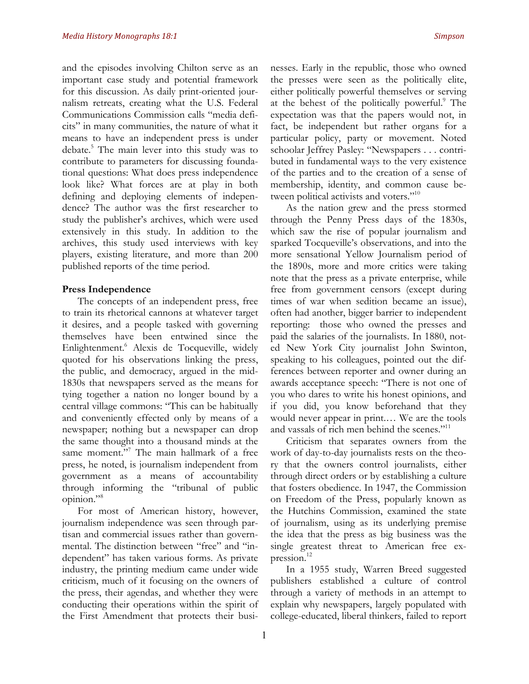and the episodes involving Chilton serve as an important case study and potential framework for this discussion. As daily print-oriented journalism retreats, creating what the U.S. Federal Communications Commission calls "media deficits" in many communities, the nature of what it means to have an independent press is under debate.5 The main lever into this study was to contribute to parameters for discussing foundational questions: What does press independence look like? What forces are at play in both defining and deploying elements of independence? The author was the first researcher to study the publisher's archives, which were used extensively in this study. In addition to the archives, this study used interviews with key players, existing literature, and more than 200 published reports of the time period.

#### **Press Independence**

The concepts of an independent press, free to train its rhetorical cannons at whatever target it desires, and a people tasked with governing themselves have been entwined since the Enlightenment.<sup>6</sup> Alexis de Tocqueville, widely quoted for his observations linking the press, the public, and democracy, argued in the mid-1830s that newspapers served as the means for tying together a nation no longer bound by a central village commons: "This can be habitually and conveniently effected only by means of a newspaper; nothing but a newspaper can drop the same thought into a thousand minds at the same moment."<sup>7</sup> The main hallmark of a free press, he noted, is journalism independent from government as a means of accountability through informing the "tribunal of public opinion."8

For most of American history, however, journalism independence was seen through partisan and commercial issues rather than governmental. The distinction between "free" and "independent" has taken various forms. As private industry, the printing medium came under wide criticism, much of it focusing on the owners of the press, their agendas, and whether they were conducting their operations within the spirit of the First Amendment that protects their businesses. Early in the republic, those who owned the presses were seen as the politically elite, either politically powerful themselves or serving at the behest of the politically powerful.<sup>9</sup> The expectation was that the papers would not, in fact, be independent but rather organs for a particular policy, party or movement. Noted schoolar Jeffrey Pasley: "Newspapers . . . contributed in fundamental ways to the very existence of the parties and to the creation of a sense of membership, identity, and common cause between political activists and voters."<sup>10</sup>

As the nation grew and the press stormed through the Penny Press days of the 1830s, which saw the rise of popular journalism and sparked Tocqueville's observations, and into the more sensational Yellow Journalism period of the 1890s, more and more critics were taking note that the press as a private enterprise, while free from government censors (except during times of war when sedition became an issue), often had another, bigger barrier to independent reporting: those who owned the presses and paid the salaries of the journalists. In 1880, noted New York City journalist John Swinton, speaking to his colleagues, pointed out the differences between reporter and owner during an awards acceptance speech: "There is not one of you who dares to write his honest opinions, and if you did, you know beforehand that they would never appear in print.… We are the tools and vassals of rich men behind the scenes."<sup>11</sup>

Criticism that separates owners from the work of day-to-day journalists rests on the theory that the owners control journalists, either through direct orders or by establishing a culture that fosters obedience. In 1947, the Commission on Freedom of the Press, popularly known as the Hutchins Commission, examined the state of journalism, using as its underlying premise the idea that the press as big business was the single greatest threat to American free expression.<sup>12</sup>

In a 1955 study, Warren Breed suggested publishers established a culture of control through a variety of methods in an attempt to explain why newspapers, largely populated with college-educated, liberal thinkers, failed to report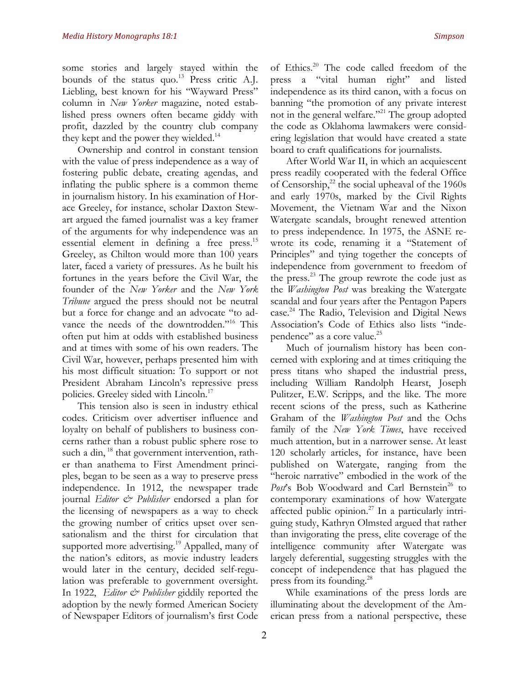some stories and largely stayed within the bounds of the status quo.<sup>13</sup> Press critic A.J. Liebling, best known for his "Wayward Press" column in *New Yorker* magazine, noted established press owners often became giddy with profit, dazzled by the country club company they kept and the power they wielded.<sup>14</sup>

Ownership and control in constant tension with the value of press independence as a way of fostering public debate, creating agendas, and inflating the public sphere is a common theme in journalism history. In his examination of Horace Greeley, for instance, scholar Daxton Stewart argued the famed journalist was a key framer of the arguments for why independence was an essential element in defining a free press.<sup>15</sup> Greeley, as Chilton would more than 100 years later, faced a variety of pressures. As he built his fortunes in the years before the Civil War, the founder of the *New Yorker* and the *New York Tribune* argued the press should not be neutral but a force for change and an advocate "to advance the needs of the downtrodden."<sup>16</sup> This often put him at odds with established business and at times with some of his own readers. The Civil War, however, perhaps presented him with his most difficult situation: To support or not President Abraham Lincoln's repressive press policies. Greeley sided with Lincoln.<sup>17</sup>

This tension also is seen in industry ethical codes. Criticism over advertiser influence and loyalty on behalf of publishers to business concerns rather than a robust public sphere rose to such a din, <sup>18</sup> that government intervention, rather than anathema to First Amendment principles, began to be seen as a way to preserve press independence. In 1912, the newspaper trade journal *Editor & Publisher* endorsed a plan for the licensing of newspapers as a way to check the growing number of critics upset over sensationalism and the thirst for circulation that supported more advertising.<sup>19</sup> Appalled, many of the nation's editors, as movie industry leaders would later in the century, decided self-regulation was preferable to government oversight. In 1922, *Editor & Publisher* giddily reported the adoption by the newly formed American Society of Newspaper Editors of journalism's first Code of Ethics.20 The code called freedom of the press a "vital human right" and listed independence as its third canon, with a focus on banning "the promotion of any private interest not in the general welfare."21 The group adopted the code as Oklahoma lawmakers were considering legislation that would have created a state board to craft qualifications for journalists.

After World War II, in which an acquiescent press readily cooperated with the federal Office of Censorship, $^{22}$  the social upheaval of the 1960s and early 1970s, marked by the Civil Rights Movement, the Vietnam War and the Nixon Watergate scandals, brought renewed attention to press independence. In 1975, the ASNE rewrote its code, renaming it a "Statement of Principles" and tying together the concepts of independence from government to freedom of the press. $^{23}$  The group rewrote the code just as the *Washington Post* was breaking the Watergate scandal and four years after the Pentagon Papers case. <sup>24</sup> The Radio, Television and Digital News Association's Code of Ethics also lists "independence" as a core value.<sup>25</sup>

Much of journalism history has been concerned with exploring and at times critiquing the press titans who shaped the industrial press, including William Randolph Hearst, Joseph Pulitzer, E.W. Scripps, and the like. The more recent scions of the press, such as Katherine Graham of the *Washington Post* and the Ochs family of the *New York Times*, have received much attention, but in a narrower sense. At least 120 scholarly articles, for instance, have been published on Watergate, ranging from the "heroic narrative" embodied in the work of the Post's Bob Woodward and Carl Bernstein<sup>26</sup> to contemporary examinations of how Watergate affected public opinion. $27$  In a particularly intriguing study, Kathryn Olmsted argued that rather than invigorating the press, elite coverage of the intelligence community after Watergate was largely deferential, suggesting struggles with the concept of independence that has plagued the press from its founding. 28

While examinations of the press lords are illuminating about the development of the American press from a national perspective, these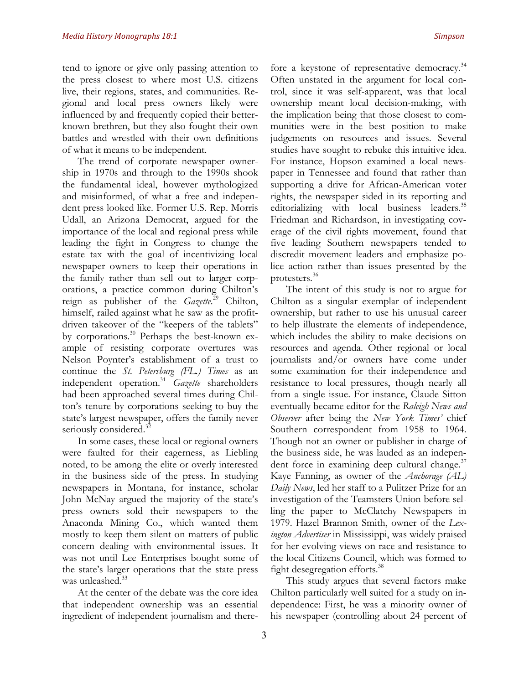tend to ignore or give only passing attention to the press closest to where most U.S. citizens live, their regions, states, and communities. Regional and local press owners likely were influenced by and frequently copied their betterknown brethren, but they also fought their own battles and wrestled with their own definitions of what it means to be independent.

The trend of corporate newspaper ownership in 1970s and through to the 1990s shook the fundamental ideal, however mythologized and misinformed, of what a free and independent press looked like. Former U.S. Rep. Morris Udall, an Arizona Democrat, argued for the importance of the local and regional press while leading the fight in Congress to change the estate tax with the goal of incentivizing local newspaper owners to keep their operations in the family rather than sell out to larger corporations, a practice common during Chilton's reign as publisher of the *Gazette*. <sup>29</sup> Chilton, himself, railed against what he saw as the profitdriven takeover of the "keepers of the tablets" by corporations.<sup>30</sup> Perhaps the best-known example of resisting corporate overtures was Nelson Poynter's establishment of a trust to continue the *St. Petersburg (FL.) Times* as an independent operation.31 *Gazette* shareholders had been approached several times during Chilton's tenure by corporations seeking to buy the state's largest newspaper, offers the family never seriously considered.<sup>32</sup>

In some cases, these local or regional owners were faulted for their eagerness, as Liebling noted, to be among the elite or overly interested in the business side of the press. In studying newspapers in Montana, for instance, scholar John McNay argued the majority of the state's press owners sold their newspapers to the Anaconda Mining Co., which wanted them mostly to keep them silent on matters of public concern dealing with environmental issues. It was not until Lee Enterprises bought some of the state's larger operations that the state press was unleashed.<sup>33</sup>

At the center of the debate was the core idea that independent ownership was an essential ingredient of independent journalism and there-

fore a keystone of representative democracy.<sup>34</sup> Often unstated in the argument for local control, since it was self-apparent, was that local ownership meant local decision-making, with the implication being that those closest to communities were in the best position to make judgements on resources and issues. Several studies have sought to rebuke this intuitive idea. For instance, Hopson examined a local newspaper in Tennessee and found that rather than supporting a drive for African-American voter rights, the newspaper sided in its reporting and editorializing with local business leaders.<sup>35</sup> Friedman and Richardson, in investigating coverage of the civil rights movement, found that five leading Southern newspapers tended to discredit movement leaders and emphasize police action rather than issues presented by the protesters.36

The intent of this study is not to argue for Chilton as a singular exemplar of independent ownership, but rather to use his unusual career to help illustrate the elements of independence, which includes the ability to make decisions on resources and agenda. Other regional or local journalists and/or owners have come under some examination for their independence and resistance to local pressures, though nearly all from a single issue. For instance, Claude Sitton eventually became editor for the *Raleigh News and Observer* after being the *New York Times'* chief Southern correspondent from 1958 to 1964. Though not an owner or publisher in charge of the business side, he was lauded as an independent force in examining deep cultural change. $37$ Kaye Fanning, as owner of the *Anchorage (AL) Daily News*, led her staff to a Pulitzer Prize for an investigation of the Teamsters Union before selling the paper to McClatchy Newspapers in 1979. Hazel Brannon Smith, owner of the *Lexington Advertiser* in Mississippi, was widely praised for her evolving views on race and resistance to the local Citizens Council, which was formed to fight desegregation efforts.<sup>38</sup>

This study argues that several factors make Chilton particularly well suited for a study on independence: First, he was a minority owner of his newspaper (controlling about 24 percent of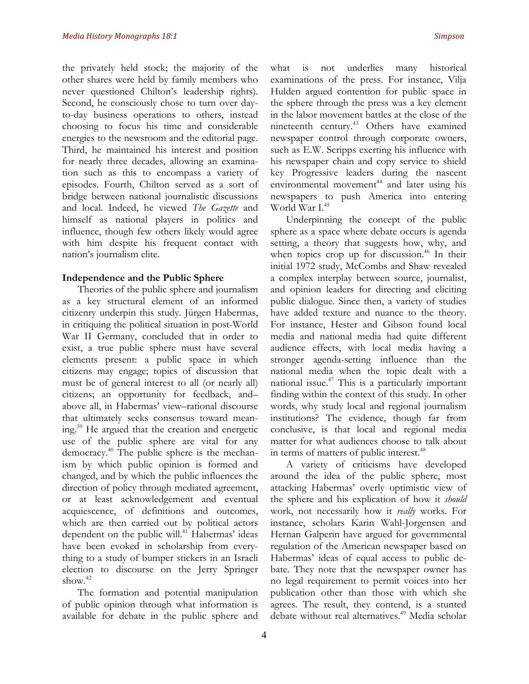the privately held stock; the majority of the other shares were held by family members who never questioned Chilton's leadership rights). Second, he consciously chose to turn over dayto-day business operations to others, instead choosing to focus his time and considerable energies to the newsroom and the editorial page. Third, he maintained his interest and position for nearly three decades, allowing an examination such as this to encompass a variety of episodes. Fourth, Chilton served as a sort of bridge between national journalistic discussions and local. Indeed, he viewed *The Gazette* and himself as national players in politics and influence, though few others likely would agree with him despite his frequent contact with nation's journalism elite.

#### **Independence and the Public Sphere**

Theories of the public sphere and journalism as a key structural element of an informed citizenry underpin this study. Jürgen Habermas, in critiquing the political situation in post-World War II Germany, concluded that in order to exist, a true public sphere must have several elements present: a public space in which citizens may engage; topics of discussion that must be of general interest to all (or nearly all) citizens; an opportunity for feedback, and– above all, in Habermas' view–rational discourse that ultimately seeks consensus toward meaning.39 He argued that the creation and energetic use of the public sphere are vital for any democracy.40 The public sphere is the mechanism by which public opinion is formed and changed, and by which the public influences the direction of policy through mediated agreement, or at least acknowledgement and eventual acquiescence, of definitions and outcomes, which are then carried out by political actors dependent on the public will.<sup>41</sup> Habermas' ideas have been evoked in scholarship from everything to a study of bumper stickers in an Israeli election to discourse on the Jerry Springer show. $42$ 

The formation and potential manipulation of public opinion through what information is available for debate in the public sphere and what is not underlies many historical examinations of the press. For instance, Vilja Hulden argued contention for public space in the sphere through the press was a key element in the labor movement battles at the close of the nineteenth century.<sup>43</sup> Others have examined newspaper control through corporate owners, such as E.W. Scripps exerting his influence with his newspaper chain and copy service to shield key Progressive leaders during the nascent environmental movement<sup>44</sup> and later using his newspapers to push America into entering World War  $I^{45}$ 

Underpinning the concept of the public sphere as a space where debate occurs is agenda setting, a theory that suggests how, why, and when topics crop up for discussion. $46$  In their initial 1972 study, McCombs and Shaw revealed a complex interplay between source, journalist, and opinion leaders for directing and eliciting public dialogue. Since then, a variety of studies have added texture and nuance to the theory. For instance, Hester and Gibson found local media and national media had quite different audience effects, with local media having a stronger agenda-setting influence than the national media when the topic dealt with a national issue.47 This is a particularly important finding within the context of this study. In other words, why study local and regional journalism institutions? The evidence, though far from conclusive, is that local and regional media matter for what audiences choose to talk about in terms of matters of public interest.<sup>48</sup>

A variety of criticisms have developed around the idea of the public sphere, most attacking Habermas' overly optimistic view of the sphere and his explication of how it *should* work, not necessarily how it *really* works. For instance, scholars Karin Wahl-Jorgensen and Hernan Galperin have argued for governmental regulation of the American newspaper based on Habermas' ideas of equal access to public debate. They note that the newspaper owner has no legal requirement to permit voices into her publication other than those with which she agrees. The result, they contend, is a stunted debate without real alternatives.<sup>49</sup> Media scholar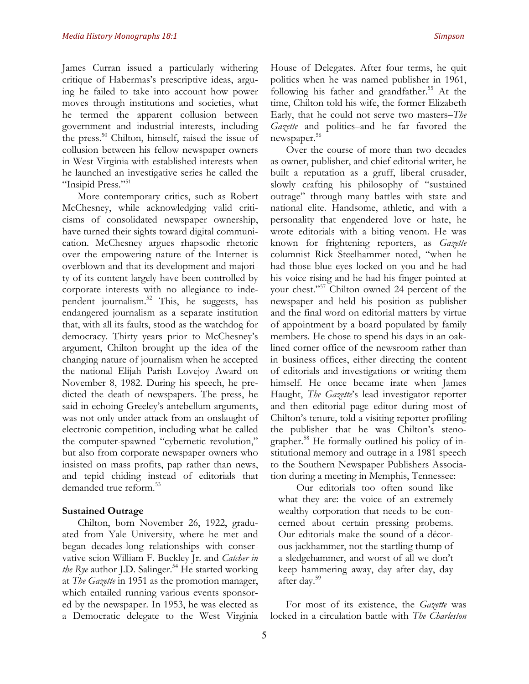James Curran issued a particularly withering critique of Habermas's prescriptive ideas, arguing he failed to take into account how power moves through institutions and societies, what he termed the apparent collusion between government and industrial interests, including the press.<sup>50</sup> Chilton, himself, raised the issue of collusion between his fellow newspaper owners in West Virginia with established interests when he launched an investigative series he called the "Insipid Press."<sup>51</sup>

More contemporary critics, such as Robert McChesney, while acknowledging valid criticisms of consolidated newspaper ownership, have turned their sights toward digital communication. McChesney argues rhapsodic rhetoric over the empowering nature of the Internet is overblown and that its development and majority of its content largely have been controlled by corporate interests with no allegiance to independent journalism.52 This, he suggests, has endangered journalism as a separate institution that, with all its faults, stood as the watchdog for democracy. Thirty years prior to McChesney's argument, Chilton brought up the idea of the changing nature of journalism when he accepted the national Elijah Parish Lovejoy Award on November 8, 1982. During his speech, he predicted the death of newspapers. The press, he said in echoing Greeley's antebellum arguments, was not only under attack from an onslaught of electronic competition, including what he called the computer-spawned "cybernetic revolution," but also from corporate newspaper owners who insisted on mass profits, pap rather than news, and tepid chiding instead of editorials that demanded true reform.<sup>53</sup>

#### **Sustained Outrage**

Chilton, born November 26, 1922, graduated from Yale University, where he met and began decades-long relationships with conservative scion William F. Buckley Jr. and *Catcher in*  the Rye author J.D. Salinger.<sup>54</sup> He started working at *The Gazette* in 1951 as the promotion manager, which entailed running various events sponsored by the newspaper. In 1953, he was elected as a Democratic delegate to the West Virginia House of Delegates. After four terms, he quit politics when he was named publisher in 1961, following his father and grandfather.<sup>55</sup> At the time, Chilton told his wife, the former Elizabeth Early, that he could not serve two masters–*The Gazette* and politics–and he far favored the newspaper.<sup>56</sup>

Over the course of more than two decades as owner, publisher, and chief editorial writer, he built a reputation as a gruff, liberal crusader, slowly crafting his philosophy of "sustained outrage" through many battles with state and national elite. Handsome, athletic, and with a personality that engendered love or hate, he wrote editorials with a biting venom. He was known for frightening reporters, as *Gazette* columnist Rick Steelhammer noted, "when he had those blue eyes locked on you and he had his voice rising and he had his finger pointed at your chest."57 Chilton owned 24 percent of the newspaper and held his position as publisher and the final word on editorial matters by virtue of appointment by a board populated by family members. He chose to spend his days in an oaklined corner office of the newsroom rather than in business offices, either directing the content of editorials and investigations or writing them himself. He once became irate when James Haught, *The Gazette*'s lead investigator reporter and then editorial page editor during most of Chilton's tenure, told a visiting reporter profiling the publisher that he was Chilton's stenographer.<sup>58</sup> He formally outlined his policy of institutional memory and outrage in a 1981 speech to the Southern Newspaper Publishers Association during a meeting in Memphis, Tennessee:

Our editorials too often sound like what they are: the voice of an extremely wealthy corporation that needs to be concerned about certain pressing probems. Our editorials make the sound of a décorous jackhammer, not the startling thump of a sledgehammer, and worst of all we don't keep hammering away, day after day, day after day.<sup>59</sup>

For most of its existence, the *Gazette* was locked in a circulation battle with *The Charleston*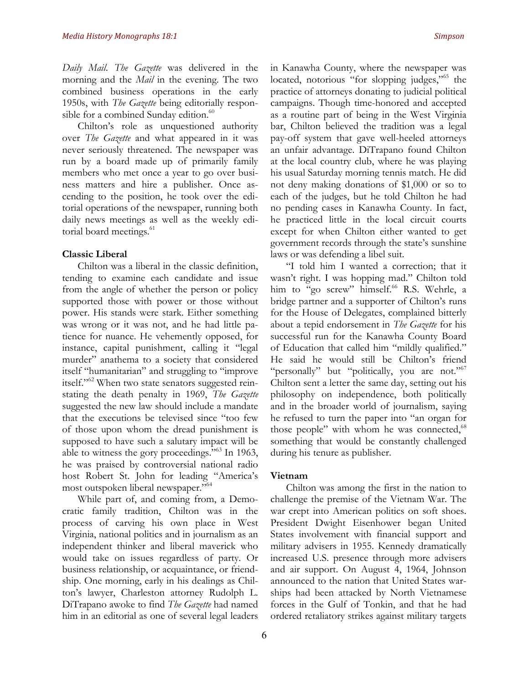*Daily Mail*. *The Gazette* was delivered in the morning and the *Mail* in the evening. The two combined business operations in the early 1950s, with *The Gazette* being editorially responsible for a combined Sunday edition.<sup>60</sup>

Chilton's role as unquestioned authority over *The Gazette* and what appeared in it was never seriously threatened. The newspaper was run by a board made up of primarily family members who met once a year to go over business matters and hire a publisher. Once ascending to the position, he took over the editorial operations of the newspaper, running both daily news meetings as well as the weekly editorial board meetings.<sup>61</sup>

#### **Classic Liberal**

Chilton was a liberal in the classic definition, tending to examine each candidate and issue from the angle of whether the person or policy supported those with power or those without power. His stands were stark. Either something was wrong or it was not, and he had little patience for nuance. He vehemently opposed, for instance, capital punishment, calling it "legal murder" anathema to a society that considered itself "humanitarian" and struggling to "improve itself."<sup>62</sup> When two state senators suggested reinstating the death penalty in 1969, *The Gazette* suggested the new law should include a mandate that the executions be televised since "too few of those upon whom the dread punishment is supposed to have such a salutary impact will be able to witness the gory proceedings."63 In 1963, he was praised by controversial national radio host Robert St. John for leading "America's most outspoken liberal newspaper."<sup>64</sup>

While part of, and coming from, a Democratic family tradition, Chilton was in the process of carving his own place in West Virginia, national politics and in journalism as an independent thinker and liberal maverick who would take on issues regardless of party. Or business relationship, or acquaintance, or friendship. One morning, early in his dealings as Chilton's lawyer, Charleston attorney Rudolph L. DiTrapano awoke to find *The Gazette* had named him in an editorial as one of several legal leaders in Kanawha County, where the newspaper was located, notorious "for slopping judges,"<sup>65</sup> the practice of attorneys donating to judicial political campaigns. Though time-honored and accepted as a routine part of being in the West Virginia bar, Chilton believed the tradition was a legal pay-off system that gave well-heeled attorneys an unfair advantage. DiTrapano found Chilton at the local country club, where he was playing his usual Saturday morning tennis match. He did not deny making donations of \$1,000 or so to each of the judges, but he told Chilton he had no pending cases in Kanawha County. In fact, he practiced little in the local circuit courts except for when Chilton either wanted to get government records through the state's sunshine laws or was defending a libel suit.

"I told him I wanted a correction; that it wasn't right. I was hopping mad." Chilton told him to "go screw" himself.<sup>66</sup> R.S. Wehrle, a bridge partner and a supporter of Chilton's runs for the House of Delegates, complained bitterly about a tepid endorsement in *The Gazette* for his successful run for the Kanawha County Board of Education that called him "mildly qualified." He said he would still be Chilton's friend "personally" but "politically, you are not."<sup>67</sup> Chilton sent a letter the same day, setting out his philosophy on independence, both politically and in the broader world of journalism, saying he refused to turn the paper into "an organ for those people" with whom he was connected,<sup>68</sup> something that would be constantly challenged during his tenure as publisher.

#### **Vietnam**

Chilton was among the first in the nation to challenge the premise of the Vietnam War. The war crept into American politics on soft shoes. President Dwight Eisenhower began United States involvement with financial support and military advisers in 1955. Kennedy dramatically increased U.S. presence through more advisers and air support. On August 4, 1964, Johnson announced to the nation that United States warships had been attacked by North Vietnamese forces in the Gulf of Tonkin, and that he had ordered retaliatory strikes against military targets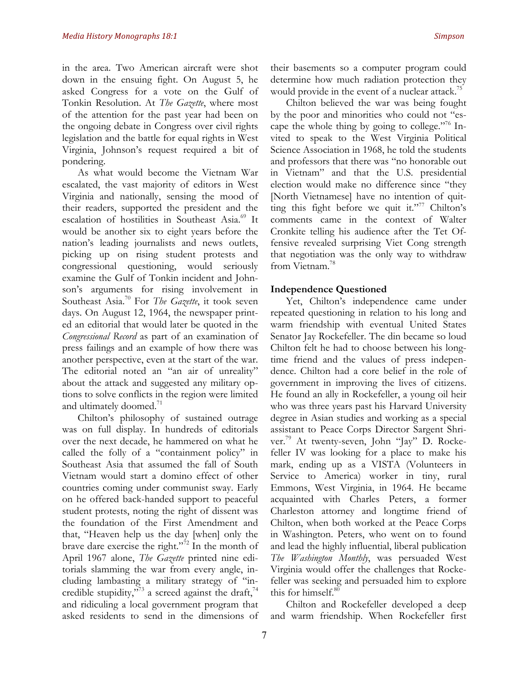in the area. Two American aircraft were shot down in the ensuing fight. On August 5, he asked Congress for a vote on the Gulf of Tonkin Resolution. At *The Gazette*, where most of the attention for the past year had been on the ongoing debate in Congress over civil rights legislation and the battle for equal rights in West Virginia, Johnson's request required a bit of pondering.

As what would become the Vietnam War escalated, the vast majority of editors in West Virginia and nationally, sensing the mood of their readers, supported the president and the escalation of hostilities in Southeast Asia.<sup>69</sup> It would be another six to eight years before the nation's leading journalists and news outlets, picking up on rising student protests and congressional questioning, would seriously examine the Gulf of Tonkin incident and Johnson's arguments for rising involvement in Southeast Asia.70 For *The Gazette*, it took seven days. On August 12, 1964, the newspaper printed an editorial that would later be quoted in the *Congressional Record* as part of an examination of press failings and an example of how there was another perspective, even at the start of the war. The editorial noted an "an air of unreality" about the attack and suggested any military options to solve conflicts in the region were limited and ultimately doomed.<sup>71</sup>

Chilton's philosophy of sustained outrage was on full display. In hundreds of editorials over the next decade, he hammered on what he called the folly of a "containment policy" in Southeast Asia that assumed the fall of South Vietnam would start a domino effect of other countries coming under communist sway. Early on he offered back-handed support to peaceful student protests, noting the right of dissent was the foundation of the First Amendment and that, "Heaven help us the day [when] only the brave dare exercise the right."72 In the month of April 1967 alone, *The Gazette* printed nine editorials slamming the war from every angle, including lambasting a military strategy of "incredible stupidity,  $\frac{1}{2}$  a screed against the draft,<sup>74</sup> and ridiculing a local government program that asked residents to send in the dimensions of their basements so a computer program could determine how much radiation protection they would provide in the event of a nuclear attack.<sup>75</sup>

Chilton believed the war was being fought by the poor and minorities who could not "escape the whole thing by going to college."76 Invited to speak to the West Virginia Political Science Association in 1968, he told the students and professors that there was "no honorable out in Vietnam" and that the U.S. presidential election would make no difference since "they [North Vietnamese] have no intention of quitting this fight before we quit it."<sup>77</sup> Chilton's comments came in the context of Walter Cronkite telling his audience after the Tet Offensive revealed surprising Viet Cong strength that negotiation was the only way to withdraw from Vietnam.<sup>78</sup>

#### **Independence Questioned**

Yet, Chilton's independence came under repeated questioning in relation to his long and warm friendship with eventual United States Senator Jay Rockefeller. The din became so loud Chilton felt he had to choose between his longtime friend and the values of press independence. Chilton had a core belief in the role of government in improving the lives of citizens. He found an ally in Rockefeller, a young oil heir who was three years past his Harvard University degree in Asian studies and working as a special assistant to Peace Corps Director Sargent Shriver.<sup>79</sup> At twenty-seven, John "Jay" D. Rockefeller IV was looking for a place to make his mark, ending up as a VISTA (Volunteers in Service to America) worker in tiny, rural Emmons, West Virginia, in 1964. He became acquainted with Charles Peters, a former Charleston attorney and longtime friend of Chilton, when both worked at the Peace Corps in Washington. Peters, who went on to found and lead the highly influential, liberal publication *The Washington Monthly*, was persuaded West Virginia would offer the challenges that Rockefeller was seeking and persuaded him to explore this for himself.<sup>80</sup>

Chilton and Rockefeller developed a deep and warm friendship. When Rockefeller first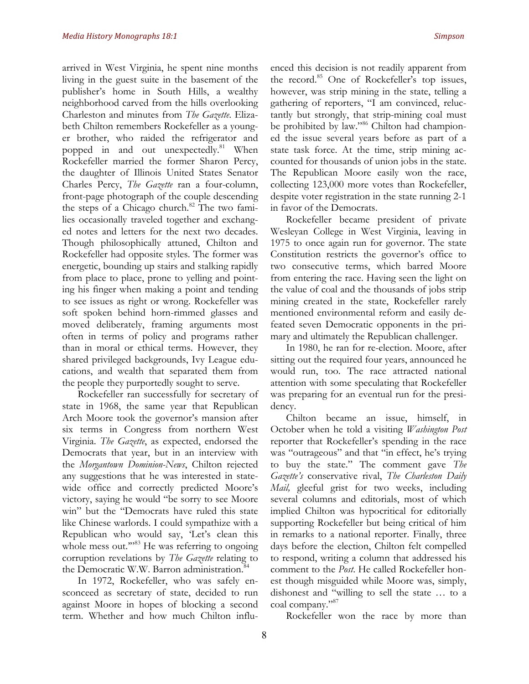arrived in West Virginia, he spent nine months living in the guest suite in the basement of the publisher's home in South Hills, a wealthy neighborhood carved from the hills overlooking Charleston and minutes from *The Gazette*. Elizabeth Chilton remembers Rockefeller as a younger brother, who raided the refrigerator and popped in and out unexpectedly.<sup>81</sup> When Rockefeller married the former Sharon Percy, the daughter of Illinois United States Senator Charles Percy, *The Gazette* ran a four-column, front-page photograph of the couple descending the steps of a Chicago church.<sup>82</sup> The two families occasionally traveled together and exchanged notes and letters for the next two decades. Though philosophically attuned, Chilton and Rockefeller had opposite styles. The former was energetic, bounding up stairs and stalking rapidly from place to place, prone to yelling and pointing his finger when making a point and tending to see issues as right or wrong. Rockefeller was soft spoken behind horn-rimmed glasses and moved deliberately, framing arguments most often in terms of policy and programs rather than in moral or ethical terms. However, they shared privileged backgrounds, Ivy League educations, and wealth that separated them from the people they purportedly sought to serve.

Rockefeller ran successfully for secretary of state in 1968, the same year that Republican Arch Moore took the governor's mansion after six terms in Congress from northern West Virginia. *The Gazette*, as expected, endorsed the Democrats that year, but in an interview with the *Morgantown Dominion-News*, Chilton rejected any suggestions that he was interested in statewide office and correctly predicted Moore's victory, saying he would "be sorry to see Moore win" but the "Democrats have ruled this state like Chinese warlords. I could sympathize with a Republican who would say, 'Let's clean this whole mess out."<sup>83</sup> He was referring to ongoing corruption revelations by *The Gazette* relating to the Democratic W.W. Barron administration.<sup>84</sup>

In 1972, Rockefeller, who was safely ensconceed as secretary of state, decided to run against Moore in hopes of blocking a second term. Whether and how much Chilton influ-

the record.<sup>85</sup> One of Rockefeller's top issues, however, was strip mining in the state, telling a gathering of reporters, "I am convinced, reluctantly but strongly, that strip-mining coal must be prohibited by law."86 Chilton had championed the issue several years before as part of a state task force. At the time, strip mining accounted for thousands of union jobs in the state. The Republican Moore easily won the race, collecting 123,000 more votes than Rockefeller, despite voter registration in the state running 2-1 in favor of the Democrats.

Rockefeller became president of private Wesleyan College in West Virginia, leaving in 1975 to once again run for governor. The state Constitution restricts the governor's office to two consecutive terms, which barred Moore from entering the race. Having seen the light on the value of coal and the thousands of jobs strip mining created in the state, Rockefeller rarely mentioned environmental reform and easily defeated seven Democratic opponents in the primary and ultimately the Republican challenger.

In 1980, he ran for re-election. Moore, after sitting out the required four years, announced he would run, too. The race attracted national attention with some speculating that Rockefeller was preparing for an eventual run for the presidency.

Chilton became an issue, himself, in October when he told a visiting *Washington Post*  reporter that Rockefeller's spending in the race was "outrageous" and that "in effect, he's trying to buy the state." The comment gave *The Gazette's* conservative rival, *The Charleston Daily Mail,* gleeful grist for two weeks, including several columns and editorials, most of which implied Chilton was hypocritical for editorially supporting Rockefeller but being critical of him in remarks to a national reporter. Finally, three days before the election, Chilton felt compelled to respond, writing a column that addressed his comment to the *Post*. He called Rockefeller honest though misguided while Moore was, simply, dishonest and "willing to sell the state … to a coal company."<sup>87</sup>

Rockefeller won the race by more than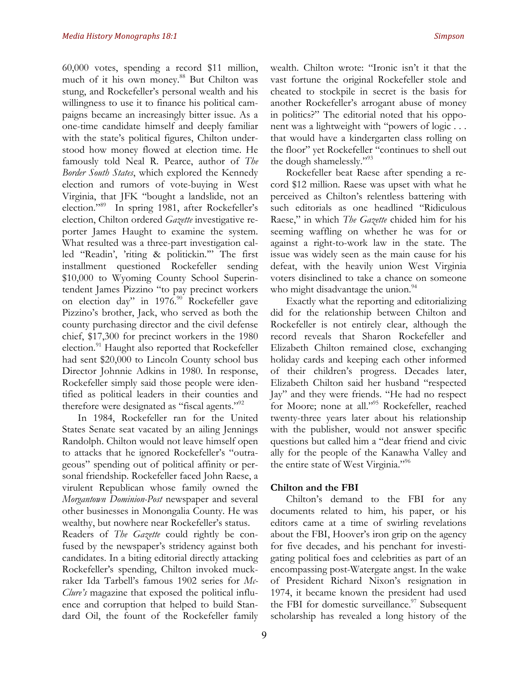60,000 votes, spending a record \$11 million, much of it his own money.<sup>88</sup> But Chilton was stung, and Rockefeller's personal wealth and his willingness to use it to finance his political campaigns became an increasingly bitter issue. As a one-time candidate himself and deeply familiar with the state's political figures, Chilton understood how money flowed at election time. He famously told Neal R. Pearce, author of *The Border South States*, which explored the Kennedy election and rumors of vote-buying in West Virginia, that JFK "bought a landslide, not an election."89 In spring 1981, after Rockefeller's election, Chilton ordered *Gazette* investigative reporter James Haught to examine the system. What resulted was a three-part investigation called "Readin', 'riting & politickin.'" The first installment questioned Rockefeller sending \$10,000 to Wyoming County School Superintendent James Pizzino "to pay precinct workers on election day" in 1976.<sup>90</sup> Rockefeller gave Pizzino's brother, Jack, who served as both the county purchasing director and the civil defense chief, \$17,300 for precinct workers in the 1980 election.<sup>91</sup> Haught also reported that Rockefeller had sent \$20,000 to Lincoln County school bus Director Johnnie Adkins in 1980. In response, Rockefeller simply said those people were identified as political leaders in their counties and therefore were designated as "fiscal agents."<sup>92</sup>

In 1984, Rockefeller ran for the United States Senate seat vacated by an ailing Jennings Randolph. Chilton would not leave himself open to attacks that he ignored Rockefeller's "outrageous" spending out of political affinity or personal friendship. Rockefeller faced John Raese, a virulent Republican whose family owned the *Morgantown Dominion-Post* newspaper and several other businesses in Monongalia County. He was wealthy, but nowhere near Rockefeller's status.

Readers of *The Gazette* could rightly be confused by the newspaper's stridency against both candidates. In a biting editorial directly attacking Rockefeller's spending, Chilton invoked muckraker Ida Tarbell's famous 1902 series for *Mc-Clure's* magazine that exposed the political influence and corruption that helped to build Standard Oil, the fount of the Rockefeller family wealth. Chilton wrote: "Ironic isn't it that the vast fortune the original Rockefeller stole and cheated to stockpile in secret is the basis for another Rockefeller's arrogant abuse of money in politics?" The editorial noted that his opponent was a lightweight with "powers of logic . . . that would have a kindergarten class rolling on the floor" yet Rockefeller "continues to shell out the dough shamelessly."93

Rockefeller beat Raese after spending a record \$12 million. Raese was upset with what he perceived as Chilton's relentless battering with such editorials as one headlined "Ridiculous Raese," in which *The Gazette* chided him for his seeming waffling on whether he was for or against a right-to-work law in the state. The issue was widely seen as the main cause for his defeat, with the heavily union West Virginia voters disinclined to take a chance on someone who might disadvantage the union.<sup>94</sup>

Exactly what the reporting and editorializing did for the relationship between Chilton and Rockefeller is not entirely clear, although the record reveals that Sharon Rockefeller and Elizabeth Chilton remained close, exchanging holiday cards and keeping each other informed of their children's progress. Decades later, Elizabeth Chilton said her husband "respected Jay" and they were friends. "He had no respect for Moore; none at all."<sup>95</sup> Rockefeller, reached twenty-three years later about his relationship with the publisher, would not answer specific questions but called him a "dear friend and civic ally for the people of the Kanawha Valley and the entire state of West Virginia."<sup>96</sup>

#### **Chilton and the FBI**

Chilton's demand to the FBI for any documents related to him, his paper, or his editors came at a time of swirling revelations about the FBI, Hoover's iron grip on the agency for five decades, and his penchant for investigating political foes and celebrities as part of an encompassing post-Watergate angst. In the wake of President Richard Nixon's resignation in 1974, it became known the president had used the FBI for domestic surveillance. $97$  Subsequent scholarship has revealed a long history of the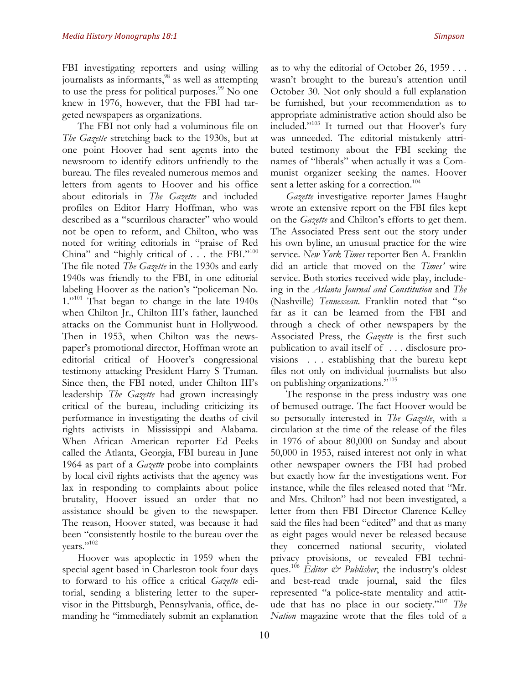FBI investigating reporters and using willing journalists as informants,<sup>98</sup> as well as attempting to use the press for political purposes. $99$  No one knew in 1976, however, that the FBI had targeted newspapers as organizations.

The FBI not only had a voluminous file on *The Gazette* stretching back to the 1930s, but at one point Hoover had sent agents into the newsroom to identify editors unfriendly to the bureau. The files revealed numerous memos and letters from agents to Hoover and his office about editorials in *The Gazette* and included profiles on Editor Harry Hoffman, who was described as a "scurrilous character" who would not be open to reform, and Chilton, who was noted for writing editorials in "praise of Red China" and "highly critical of . . . the FBI."<sup>100</sup> The file noted *The Gazette* in the 1930s and early 1940s was friendly to the FBI, in one editorial labeling Hoover as the nation's "policeman No.  $1.^{101}$  That began to change in the late 1940s when Chilton Jr., Chilton III's father, launched attacks on the Communist hunt in Hollywood. Then in 1953, when Chilton was the newspaper's promotional director, Hoffman wrote an editorial critical of Hoover's congressional testimony attacking President Harry S Truman. Since then, the FBI noted, under Chilton III's leadership *The Gazette* had grown increasingly critical of the bureau, including criticizing its performance in investigating the deaths of civil rights activists in Mississippi and Alabama. When African American reporter Ed Peeks called the Atlanta, Georgia, FBI bureau in June 1964 as part of a *Gazette* probe into complaints by local civil rights activists that the agency was lax in responding to complaints about police brutality, Hoover issued an order that no assistance should be given to the newspaper. The reason, Hoover stated, was because it had been "consistently hostile to the bureau over the years."102

Hoover was apoplectic in 1959 when the special agent based in Charleston took four days to forward to his office a critical *Gazette* editorial, sending a blistering letter to the supervisor in the Pittsburgh, Pennsylvania, office, demanding he "immediately submit an explanation

as to why the editorial of October 26, 1959 . . . wasn't brought to the bureau's attention until October 30. Not only should a full explanation be furnished, but your recommendation as to appropriate administrative action should also be included."103 It turned out that Hoover's fury was unneeded. The editorial mistakenly attributed testimony about the FBI seeking the names of "liberals" when actually it was a Communist organizer seeking the names. Hoover sent a letter asking for a correction.<sup>104</sup>

*Gazette* investigative reporter James Haught wrote an extensive report on the FBI files kept on the *Gazette* and Chilton's efforts to get them. The Associated Press sent out the story under his own byline, an unusual practice for the wire service. *New York Times* reporter Ben A. Franklin did an article that moved on the *Times'* wire service. Both stories received wide play, includeing in the *Atlanta Journal and Constitution* and *The*  (Nashville) *Tennessean*. Franklin noted that "so far as it can be learned from the FBI and through a check of other newspapers by the Associated Press, the *Gazette* is the first such publication to avail itself of . . . disclosure provisions . . . establishing that the bureau kept files not only on individual journalists but also on publishing organizations."105

The response in the press industry was one of bemused outrage. The fact Hoover would be so personally interested in *The Gazette*, with a circulation at the time of the release of the files in 1976 of about 80,000 on Sunday and about 50,000 in 1953, raised interest not only in what other newspaper owners the FBI had probed but exactly how far the investigations went. For instance, while the files released noted that "Mr. and Mrs. Chilton" had not been investigated, a letter from then FBI Director Clarence Kelley said the files had been "edited" and that as many as eight pages would never be released because they concerned national security, violated privacy provisions, or revealed FBI techniques.<sup>106</sup> *Editor & Publisher*, the industry's oldest and best-read trade journal, said the files represented "a police-state mentality and attitude that has no place in our society."107 *The Nation* magazine wrote that the files told of a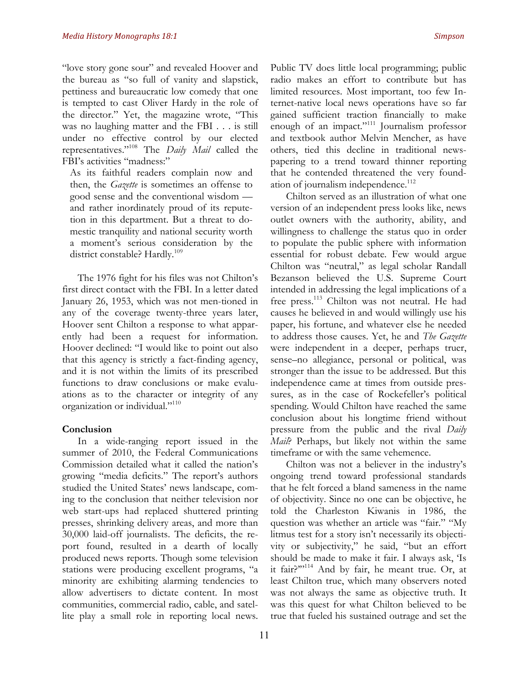"love story gone sour" and revealed Hoover and the bureau as "so full of vanity and slapstick, pettiness and bureaucratic low comedy that one is tempted to cast Oliver Hardy in the role of the director." Yet, the magazine wrote, "This was no laughing matter and the FBI . . . is still under no effective control by our elected representatives."108 The *Daily Mail* called the FBI's activities "madness:"

As its faithful readers complain now and then, the *Gazette* is sometimes an offense to good sense and the conventional wisdom and rather inordinately proud of its reputetion in this department. But a threat to domestic tranquility and national security worth a moment's serious consideration by the district constable? Hardly.<sup>109</sup>

The 1976 fight for his files was not Chilton's first direct contact with the FBI. In a letter dated January 26, 1953, which was not men-tioned in any of the coverage twenty-three years later, Hoover sent Chilton a response to what apparently had been a request for information. Hoover declined: "I would like to point out also that this agency is strictly a fact-finding agency, and it is not within the limits of its prescribed functions to draw conclusions or make evaluations as to the character or integrity of any organization or individual."110

#### **Conclusion**

In a wide-ranging report issued in the summer of 2010, the Federal Communications Commission detailed what it called the nation's growing "media deficits." The report's authors studied the United States' news landscape, coming to the conclusion that neither television nor web start-ups had replaced shuttered printing presses, shrinking delivery areas, and more than 30,000 laid-off journalists. The deficits, the report found, resulted in a dearth of locally produced news reports. Though some television stations were producing excellent programs, "a minority are exhibiting alarming tendencies to allow advertisers to dictate content. In most communities, commercial radio, cable, and satellite play a small role in reporting local news.

Public TV does little local programming; public radio makes an effort to contribute but has limited resources. Most important, too few Internet-native local news operations have so far gained sufficient traction financially to make enough of an impact."111 Journalism professor and textbook author Melvin Mencher, as have others, tied this decline in traditional newspapering to a trend toward thinner reporting that he contended threatened the very foundation of journalism independence.<sup>112</sup>

Chilton served as an illustration of what one version of an independent press looks like, news outlet owners with the authority, ability, and willingness to challenge the status quo in order to populate the public sphere with information essential for robust debate. Few would argue Chilton was "neutral," as legal scholar Randall Bezanson believed the U.S. Supreme Court intended in addressing the legal implications of a free press.<sup>113</sup> Chilton was not neutral. He had causes he believed in and would willingly use his paper, his fortune, and whatever else he needed to address those causes. Yet, he and *The Gazette* were independent in a deeper, perhaps truer, sense–no allegiance, personal or political, was stronger than the issue to be addressed. But this independence came at times from outside pressures, as in the case of Rockefeller's political spending. Would Chilton have reached the same conclusion about his longtime friend without pressure from the public and the rival *Daily Mail*? Perhaps, but likely not within the same timeframe or with the same vehemence.

Chilton was not a believer in the industry's ongoing trend toward professional standards that he felt forced a bland sameness in the name of objectivity. Since no one can be objective, he told the Charleston Kiwanis in 1986, the question was whether an article was "fair." "My litmus test for a story isn't necessarily its objectivity or subjectivity," he said, "but an effort should be made to make it fair. I always ask, 'Is it fair?"<sup>114</sup> And by fair, he meant true. Or, at least Chilton true, which many observers noted was not always the same as objective truth. It was this quest for what Chilton believed to be true that fueled his sustained outrage and set the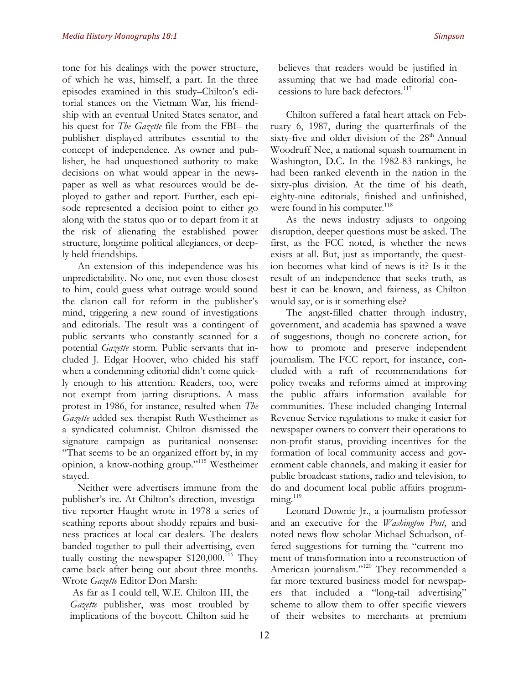tone for his dealings with the power structure, of which he was, himself, a part. In the three episodes examined in this study–Chilton's editorial stances on the Vietnam War, his friendship with an eventual United States senator, and his quest for *The Gazette* file from the FBI– the publisher displayed attributes essential to the concept of independence. As owner and publisher, he had unquestioned authority to make decisions on what would appear in the newspaper as well as what resources would be deployed to gather and report. Further, each episode represented a decision point to either go along with the status quo or to depart from it at the risk of alienating the established power structure, longtime political allegiances, or deeply held friendships.

An extension of this independence was his unpredictability. No one, not even those closest to him, could guess what outrage would sound the clarion call for reform in the publisher's mind, triggering a new round of investigations and editorials. The result was a contingent of public servants who constantly scanned for a potential *Gazette* storm. Public servants that included J. Edgar Hoover, who chided his staff when a condemning editorial didn't come quickly enough to his attention. Readers, too, were not exempt from jarring disruptions. A mass protest in 1986, for instance, resulted when *The Gazette* added sex therapist Ruth Westheimer as a syndicated columnist. Chilton dismissed the signature campaign as puritanical nonsense: "That seems to be an organized effort by, in my opinion, a know-nothing group."115 Westheimer stayed.

Neither were advertisers immune from the publisher's ire. At Chilton's direction, investigative reporter Haught wrote in 1978 a series of scathing reports about shoddy repairs and business practices at local car dealers. The dealers banded together to pull their advertising, eventually costing the newspaper  $$120,000$ .<sup>116</sup> They came back after being out about three months. Wrote *Gazette* Editor Don Marsh:

As far as I could tell, W.E. Chilton III, the *Gazette* publisher, was most troubled by implications of the boycott. Chilton said he believes that readers would be justified in assuming that we had made editorial concessions to lure back defectors.<sup>117</sup>

Chilton suffered a fatal heart attack on February 6, 1987, during the quarterfinals of the sixty-five and older division of the  $28<sup>th</sup>$  Annual Woodruff Nee, a national squash tournament in Washington, D.C. In the 1982-83 rankings, he had been ranked eleventh in the nation in the sixty-plus division. At the time of his death, eighty-nine editorials, finished and unfinished, were found in his computer.<sup>118</sup>

As the news industry adjusts to ongoing disruption, deeper questions must be asked. The first, as the FCC noted, is whether the news exists at all. But, just as importantly, the question becomes what kind of news is it? Is it the result of an independence that seeks truth, as best it can be known, and fairness, as Chilton would say, or is it something else?

The angst-filled chatter through industry, government, and academia has spawned a wave of suggestions, though no concrete action, for how to promote and preserve independent journalism. The FCC report, for instance, concluded with a raft of recommendations for policy tweaks and reforms aimed at improving the public affairs information available for communities. These included changing Internal Revenue Service regulations to make it easier for newspaper owners to convert their operations to non-profit status, providing incentives for the formation of local community access and government cable channels, and making it easier for public broadcast stations, radio and television, to do and document local public affairs program- $\text{ming.}^{119}$ 

Leonard Downie Jr., a journalism professor and an executive for the *Washington Post*, and noted news flow scholar Michael Schudson, offered suggestions for turning the "current moment of transformation into a reconstruction of American journalism."<sup>120</sup> They recommended a far more textured business model for newspapers that included a "long-tail advertising" scheme to allow them to offer specific viewers of their websites to merchants at premium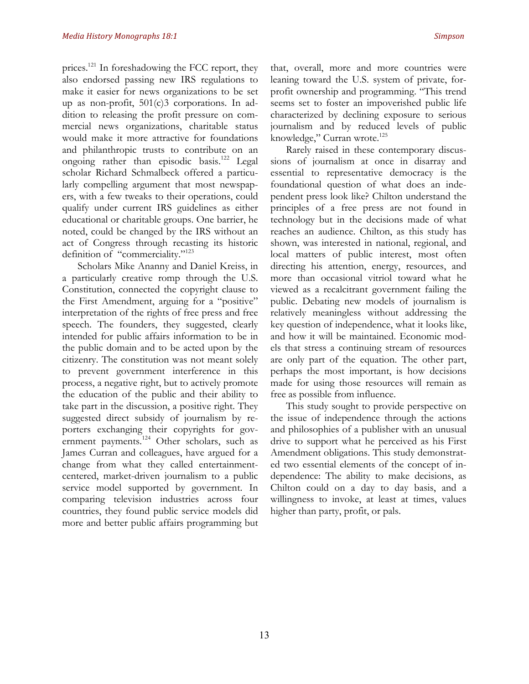prices.<sup>121</sup> In foreshadowing the FCC report, they also endorsed passing new IRS regulations to make it easier for news organizations to be set up as non-profit, 501(c)3 corporations. In addition to releasing the profit pressure on commercial news organizations, charitable status would make it more attractive for foundations and philanthropic trusts to contribute on an ongoing rather than episodic basis.<sup>122</sup> Legal scholar Richard Schmalbeck offered a particularly compelling argument that most newspapers, with a few tweaks to their operations, could qualify under current IRS guidelines as either educational or charitable groups. One barrier, he noted, could be changed by the IRS without an act of Congress through recasting its historic definition of "commerciality."<sup>123</sup>

Scholars Mike Ananny and Daniel Kreiss, in a particularly creative romp through the U.S. Constitution, connected the copyright clause to the First Amendment, arguing for a "positive" interpretation of the rights of free press and free speech. The founders, they suggested, clearly intended for public affairs information to be in the public domain and to be acted upon by the citizenry. The constitution was not meant solely to prevent government interference in this process, a negative right, but to actively promote the education of the public and their ability to take part in the discussion, a positive right. They suggested direct subsidy of journalism by reporters exchanging their copyrights for government payments.<sup>124</sup> Other scholars, such as James Curran and colleagues, have argued for a change from what they called entertainmentcentered, market-driven journalism to a public service model supported by government. In comparing television industries across four countries, they found public service models did more and better public affairs programming but that, overall, more and more countries were leaning toward the U.S. system of private, forprofit ownership and programming. "This trend seems set to foster an impoverished public life characterized by declining exposure to serious journalism and by reduced levels of public knowledge," Curran wrote.<sup>125</sup>

Rarely raised in these contemporary discussions of journalism at once in disarray and essential to representative democracy is the foundational question of what does an independent press look like? Chilton understand the principles of a free press are not found in technology but in the decisions made of what reaches an audience. Chilton, as this study has shown, was interested in national, regional, and local matters of public interest, most often directing his attention, energy, resources, and more than occasional vitriol toward what he viewed as a recalcitrant government failing the public. Debating new models of journalism is relatively meaningless without addressing the key question of independence, what it looks like, and how it will be maintained. Economic models that stress a continuing stream of resources are only part of the equation. The other part, perhaps the most important, is how decisions made for using those resources will remain as free as possible from influence.

This study sought to provide perspective on the issue of independence through the actions and philosophies of a publisher with an unusual drive to support what he perceived as his First Amendment obligations. This study demonstrated two essential elements of the concept of independence: The ability to make decisions, as Chilton could on a day to day basis, and a willingness to invoke, at least at times, values higher than party, profit, or pals.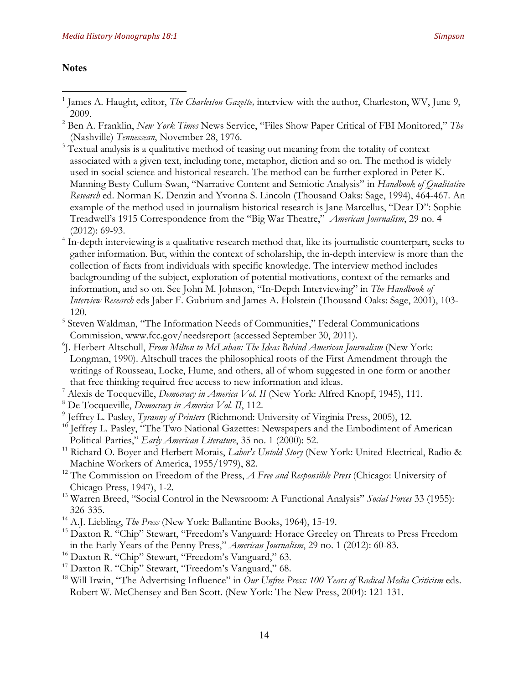#### **Notes**

- <sup>3</sup> Textual analysis is a qualitative method of teasing out meaning from the totality of context associated with a given text, including tone, metaphor, diction and so on. The method is widely used in social science and historical research. The method can be further explored in Peter K. Manning Besty Cullum-Swan, "Narrative Content and Semiotic Analysis" in *Handbook of Qualitative Research* ed. Norman K. Denzin and Yvonna S. Lincoln (Thousand Oaks: Sage, 1994), 464-467. An example of the method used in journalism historical research is Jane Marcellus, "Dear D": Sophie Treadwell's 1915 Correspondence from the "Big War Theatre," *American Journalism*, 29 no. 4 (2012): 69-93.
- <sup>4</sup> In-depth interviewing is a qualitative research method that, like its journalistic counterpart, seeks to gather information. But, within the context of scholarship, the in-depth interview is more than the collection of facts from individuals with specific knowledge. The interview method includes backgrounding of the subject, exploration of potential motivations, context of the remarks and information, and so on. See John M. Johnson, "In-Depth Interviewing" in *The Handbook of Interview Research* eds Jaber F. Gubrium and James A. Holstein (Thousand Oaks: Sage, 2001), 103- 120.
- <sup>5</sup> Steven Waldman, "The Information Needs of Communities," Federal Communications Commission, www.fcc.gov/needsreport (accessed September 30, 2011).
- 6 J. Herbert Altschull, *From Milton to McLuhan: The Ideas Behind American Journalism* (New York: Longman, 1990). Altschull traces the philosophical roots of the First Amendment through the writings of Rousseau, Locke, Hume, and others, all of whom suggested in one form or another that free thinking required free access to new information and ideas.
- <sup>7</sup> Alexis de Tocqueville, *Democracy in America Vol. II* (New York: Alfred Knopf, 1945), 111.
- <sup>8</sup> De Tocqueville, *Democracy in America Vol. II*, 112.
- <sup>9</sup> Jeffrey L. Pasley, *Tyranny of Printers* (Richmond: University of Virginia Press, 2005), 12.
- <sup>10</sup> Jeffrey L. Pasley, "The Two National Gazettes: Newspapers and the Embodiment of American Political Parties," *Early American Literature*, 35 no. 1 (2000): 52.
- <sup>11</sup> Richard O. Boyer and Herbert Morais, *Labor's Untold Story* (New York: United Electrical, Radio & Machine Workers of America, 1955/1979), 82.
- <sup>12</sup> The Commission on Freedom of the Press, *A Free and Responsible Press* (Chicago: University of Chicago Press, 1947), 1-2.
- <sup>13</sup> Warren Breed, "Social Control in the Newsroom: A Functional Analysis" *Social Forces* 33 (1955): 326-335.
- <sup>14</sup> A.J. Liebling, *The Press* (New York: Ballantine Books, 1964), 15-19.
- <sup>15</sup> Daxton R. "Chip" Stewart, "Freedom's Vanguard: Horace Greeley on Threats to Press Freedom in the Early Years of the Penny Press," *American Journalism*, 29 no. 1 (2012): 60-83.
- <sup>16</sup> Daxton R. "Chip" Stewart, "Freedom's Vanguard," 63.
- <sup>17</sup> Daxton R. "Chip" Stewart, "Freedom's Vanguard," 68.
- <sup>18</sup> Will Irwin, "The Advertising Influence" in *Our Unfree Press: 100 Years of Radical Media Criticism* eds. Robert W. McChensey and Ben Scott. (New York: The New Press, 2004): 121-131.

<sup>&</sup>lt;sup>1</sup> James A. Haught, editor, *The Charleston Gazette*, interview with the author, Charleston, WV, June 9, 2009.

<sup>2</sup> Ben A. Franklin, *New York Times* News Service, "Files Show Paper Critical of FBI Monitored," *The*  (Nashville) *Tennessean*, November 28, 1976.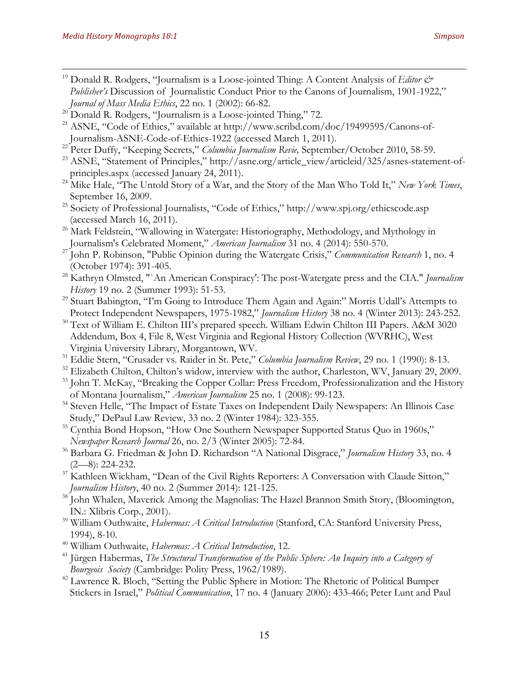- <sup>19</sup> Donald R. Rodgers, "Journalism is a Loose-jointed Thing: A Content Analysis of *Editor & Publisher's* Discussion of Journalistic Conduct Prior to the Canons of Journalism, 1901-1922," *Journal of Mass Media Ethics*, 22 no. 1 (2002): 66-82.
- <sup>20</sup> Donald R. Rodgers, "Journalism is a Loose-jointed Thing," 72.
- <sup>21</sup> ASNE, "Code of Ethics," available at http://www.scribd.com/doc/19499595/Canons-of-Journalism-ASNE-Code-of-Ethics-1922 (accessed March 1, 2011).
- <sup>22</sup> Peter Duffy, "Keeping Secrets," *Columbia Journalism Revie,* September/October 2010, 58-59.
- <sup>23</sup> ASNE, "Statement of Principles," http://asne.org/article\_view/articleid/325/asnes-statement-ofprinciples.aspx (accessed January 24, 2011).
- <sup>24</sup> Mike Hale, <sup>"</sup>The Untold Story of a War, and the Story of the Man Who Told It," *New York Times*, September 16, 2009.
- <sup>25</sup> Society of Professional Journalists, "Code of Ethics," http://www.spj.org/ethicscode.asp (accessed March 16, 2011).
- <sup>26</sup> Mark Feldstein, "Wallowing in Watergate: Historiography, Methodology, and Mythology in Journalism's Celebrated Moment," *American Journalism* 31 no. 4 (2014): 550-570.
- <sup>27</sup> John P. Robinson, "Public Opinion during the Watergate Crisis," *Communication Research* 1, no. 4 (October 1974): 391-405.
- <sup>28</sup> Kathryn Olmsted, "`An American Conspiracy': The post-Watergate press and the CIA." *Journalism History* 19 no. 2 (Summer 1993): 51-53.
- <sup>29</sup> Stuart Babington, "I'm Going to Introduce Them Again and Again:" Morris Udall's Attempts to Protect Independent Newspapers, 1975-1982," *Journalism History* 38 no. 4 (Winter 2013): 243-252.
- $30$  Text of William E. Chilton III's prepared speech. William Edwin Chilton III Papers. A&M 3020 Addendum, Box 4, File 8, West Virginia and Regional History Collection (WVRHC), West Virginia University Library, Morgantown, WV.
- <sup>31</sup> Eddie Stern, "Crusader vs. Raider in St. Pete," *Columbia Journalism Review*, 29 no. 1 (1990): 8-13.
- <sup>32</sup> Elizabeth Chilton, Chilton's widow, interview with the author, Charleston, WV, January 29, 2009.
- <sup>33</sup> John T. McKay, "Breaking the Copper Collar: Press Freedom, Professionalization and the History of Montana Journalism," *American Journalism* 25 no. 1 (2008): 99-123.
- <sup>34</sup> Steven Helle, "The Impact of Estate Taxes on Independent Daily Newspapers: An Illinois Case Study," DePaul Law Review, 33 no. 2 (Winter 1984): 323-355.
- <sup>35</sup> Cynthia Bond Hopson, "How One Southern Newspaper Supported Status Quo in 1960s," *Newspaper Research Journal* 26, no. 2/3 (Winter 2005): 72-84.
- <sup>36</sup> Barbara G. Friedman & John D. Richardson "A National Disgrace," *Journalism History* 33, no. 4 (2—8): 224-232.
- $37$  Kathleen Wickham, "Dean of the Civil Rights Reporters: A Conversation with Claude Sitton," *Journalism History*, 40 no. 2 (Summer 2014): 121-125.
- <sup>38</sup> John Whalen, Maverick Among the Magnolias: The Hazel Brannon Smith Story, (Bloomington, IN.: Xlibris Corp., 2001).
- <sup>39</sup> William Outhwaite, *Habermas: A Critical Introduction* (Stanford, CA: Stanford University Press, 1994), 8-10.
- <sup>40</sup> William Outhwaite, *Habermas: A Critical Introduction*, 12.
- <sup>41</sup> Jürgen Habermas, *The Structural Transformation of the Public Sphere: An Inquiry into a Category of Bourgeois Society* (Cambridge: Polity Press, 1962/1989).
- <sup>42</sup> Lawrence R. Bloch, "Setting the Public Sphere in Motion: The Rhetoric of Political Bumper Stickers in Israel," *Political Communication*, 17 no. 4 (January 2006): 433-466; Peter Lunt and Paul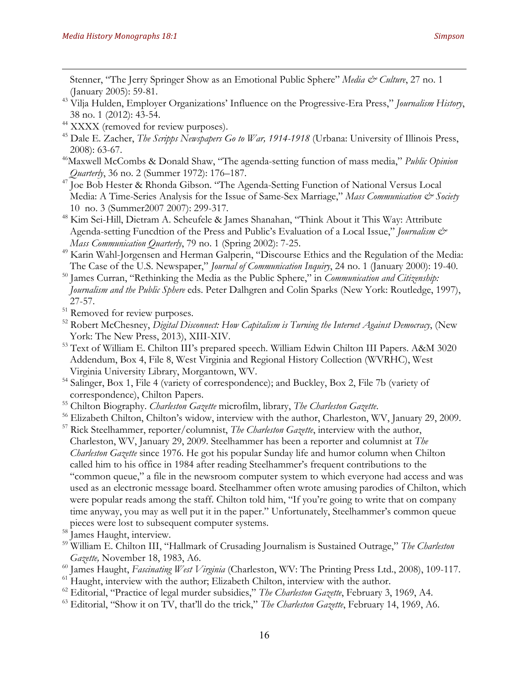Stenner, "The Jerry Springer Show as an Emotional Public Sphere" *Media & Culture*, 27 no. 1 (January 2005): 59-81.

- <sup>43</sup> Vilja Hulden, Employer Organizations' Influence on the Progressive-Era Press," *Journalism History*, 38 no. 1 (2012): 43-54.
- <sup>44</sup> XXXX (removed for review purposes).
- <sup>45</sup> Dale E. Zacher, *The Scripps Newspapers Go to War, 1914-1918* (Urbana: University of Illinois Press, 2008): 63-67.
- 46Maxwell McCombs & Donald Shaw, "The agenda-setting function of mass media," *Public Opinion Quarterly*, 36 no. 2 (Summer 1972): 176–187.
- <sup>47</sup> Joe Bob Hester & Rhonda Gibson. "The Agenda-Setting Function of National Versus Local Media: A Time-Series Analysis for the Issue of Same-Sex Marriage," Mass Communication & Society 10 no. 3 (Summer2007 2007): 299-317.
- <sup>48</sup> Kim Sei-Hill, Dietram A. Scheufele & James Shanahan, "Think About it This Way: Attribute Agenda-setting Funcdtion of the Press and Public's Evaluation of a Local Issue," *Journalism & Mass Communication Quarterly*, 79 no. 1 (Spring 2002): 7-25.
- <sup>49</sup> Karin Wahl-Jorgensen and Herman Galperin, "Discourse Ethics and the Regulation of the Media: The Case of the U.S. Newspaper," *Journal of Communication Inquiry*, 24 no. 1 (January 2000): 19-40.
- <sup>50</sup> James Curran, "Rethinking the Media as the Public Sphere," in *Communication and Citizenship: Journalism and the Public Sphere* eds. Peter Dalhgren and Colin Sparks (New York: Routledge, 1997), 27-57.
- <sup>51</sup> Removed for review purposes.
- <sup>52</sup> Robert McChesney, *Digital Disconnect: How Capitalism is Turning the Internet Against Democracy*, (New York: The New Press, 2013), XIII-XIV.
- <sup>53</sup> Text of William E. Chilton III's prepared speech. William Edwin Chilton III Papers. A&M 3020 Addendum, Box 4, File 8, West Virginia and Regional History Collection (WVRHC), West Virginia University Library, Morgantown, WV.
- <sup>54</sup> Salinger, Box 1, File 4 (variety of correspondence); and Buckley, Box 2, File 7b (variety of correspondence), Chilton Papers.
- <sup>55</sup> Chilton Biography. *Charleston Gazette* microfilm, library, *The Charleston Gazette*.
- <sup>56</sup> Elizabeth Chilton, Chilton's widow, interview with the author, Charleston, WV, January 29, 2009.
- <sup>57</sup> Rick Steelhammer, reporter/columnist, *The Charleston Gazette*, interview with the author, Charleston, WV, January 29, 2009. Steelhammer has been a reporter and columnist at *The Charleston Gazette* since 1976. He got his popular Sunday life and humor column when Chilton called him to his office in 1984 after reading Steelhammer's frequent contributions to the "common queue," a file in the newsroom computer system to which everyone had access and was used as an electronic message board. Steelhammer often wrote amusing parodies of Chilton, which were popular reads among the staff. Chilton told him, "If you're going to write that on company time anyway, you may as well put it in the paper." Unfortunately, Steelhammer's common queue pieces were lost to subsequent computer systems.
- <sup>58</sup> James Haught, interview.
- <sup>59</sup> William E. Chilton III, "Hallmark of Crusading Journalism is Sustained Outrage," *The Charleston Gazette,* November 18, 1983, A6.
- <sup>60</sup> James Haught, *Fascinating West Virginia* (Charleston, WV: The Printing Press Ltd., 2008), 109-117.
- <sup>61</sup> Haught, interview with the author; Elizabeth Chilton, interview with the author.
- <sup>62</sup> Editorial, "Practice of legal murder subsidies," *The Charleston Gazette*, February 3, 1969, A4.
- <sup>63</sup> Editorial, "Show it on TV, that'll do the trick," *The Charleston Gazette*, February 14, 1969, A6.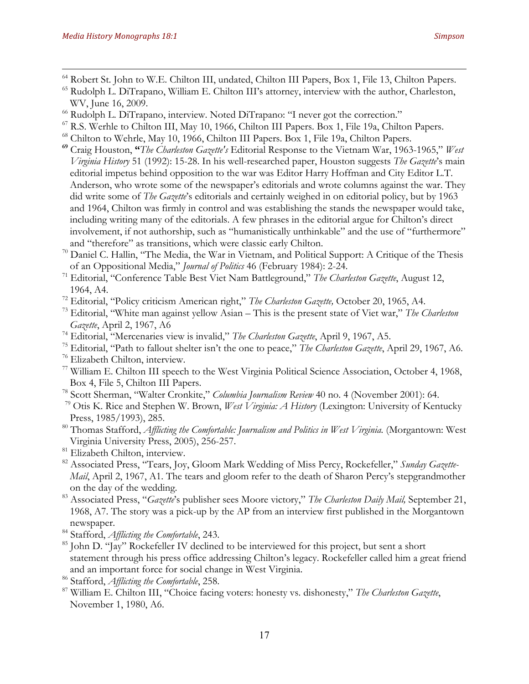- <sup>64</sup> Robert St. John to W.E. Chilton III, undated, Chilton III Papers, Box 1, File 13, Chilton Papers.
- <sup>65</sup> Rudolph L. DiTrapano, William E. Chilton III's attorney, interview with the author, Charleston, WV, June 16, 2009.
- <sup>66</sup> Rudolph L. DiTrapano, interview. Noted DiTrapano: "I never got the correction."
- <sup>67</sup> R.S. Werhle to Chilton III, May 10, 1966, Chilton III Papers. Box 1, File 19a, Chilton Papers.
- <sup>68</sup> Chilton to Wehrle, May 10, 1966, Chilton III Papers. Box 1, File 19a, Chilton Papers.
- **<sup>69</sup>** Craig Houston, **"***The Charleston Gazette's* Editorial Response to the Vietnam War, 1963-1965," *West Virginia History* 51 (1992): 15-28. In his well-researched paper, Houston suggests *The Gazette*'s main editorial impetus behind opposition to the war was Editor Harry Hoffman and City Editor L.T. Anderson, who wrote some of the newspaper's editorials and wrote columns against the war. They did write some of *The Gazette*'s editorials and certainly weighed in on editorial policy, but by 1963 and 1964, Chilton was firmly in control and was establishing the stands the newspaper would take, including writing many of the editorials. A few phrases in the editorial argue for Chilton's direct involvement, if not authorship, such as "humanistically unthinkable" and the use of "furthermore" and "therefore" as transitions, which were classic early Chilton.
- <sup>70</sup> Daniel C. Hallin, "The Media, the War in Vietnam, and Political Support: A Critique of the Thesis of an Oppositional Media," *Journal of Politics* 46 (February 1984): 2-24. 71 Editorial, "Conference Table Best Viet Nam Battleground," *The Charleston Gazette*, August 12,
- 1964, A4.
- <sup>72</sup> Editorial, "Policy criticism American right," *The Charleston Gazette,* October 20, 1965, A4.
- <sup>73</sup> Editorial, "White man against yellow Asian This is the present state of Viet war," *The Charleston Gazette*, April 2, 1967, A6
- <sup>74</sup> Editorial, "Mercenaries view is invalid," *The Charleston Gazette*, April 9, 1967, A5.
- <sup>75</sup> Editorial, "Path to fallout shelter isn't the one to peace," *The Charleston Gazette*, April 29, 1967, A6.
- <sup>76</sup> Elizabeth Chilton, interview.
- <sup>77</sup> William E. Chilton III speech to the West Virginia Political Science Association, October 4, 1968, Box 4, File 5, Chilton III Papers.
- <sup>78</sup> Scott Sherman, "Walter Cronkite," *Columbia Journalism Review* 40 no. 4 (November 2001): 64.
- <sup>79</sup> Otis K. Rice and Stephen W. Brown, *West Virginia: A History* (Lexington: University of Kentucky Press, 1985/1993), 285.
- <sup>80</sup> Thomas Stafford, *Afflicting the Comfortable: Journalism and Politics in West Virginia.* (Morgantown: West Virginia University Press, 2005), 256-257.
- <sup>81</sup> Elizabeth Chilton, interview.
- <sup>82</sup> Associated Press, "Tears, Joy, Gloom Mark Wedding of Miss Percy, Rockefeller," *Sunday Gazette-Mail*, April 2, 1967, A1. The tears and gloom refer to the death of Sharon Percy's stepgrandmother on the day of the wedding.
- <sup>83</sup> Associated Press, "*Gazette*'s publisher sees Moore victory," *The Charleston Daily Mail,* September 21, 1968, A7. The story was a pick-up by the AP from an interview first published in the Morgantown newspaper.
- <sup>84</sup> Stafford, *Afflicting the Comfortable*, 243.
- <sup>85</sup> John D. "Jay" Rockefeller IV declined to be interviewed for this project, but sent a short statement through his press office addressing Chilton's legacy. Rockefeller called him a great friend and an important force for social change in West Virginia.
- <sup>86</sup> Stafford, *Afflicting the Comfortable*, 258.
- <sup>87</sup> William E. Chilton III, "Choice facing voters: honesty vs. dishonesty," *The Charleston Gazette*, November 1, 1980, A6.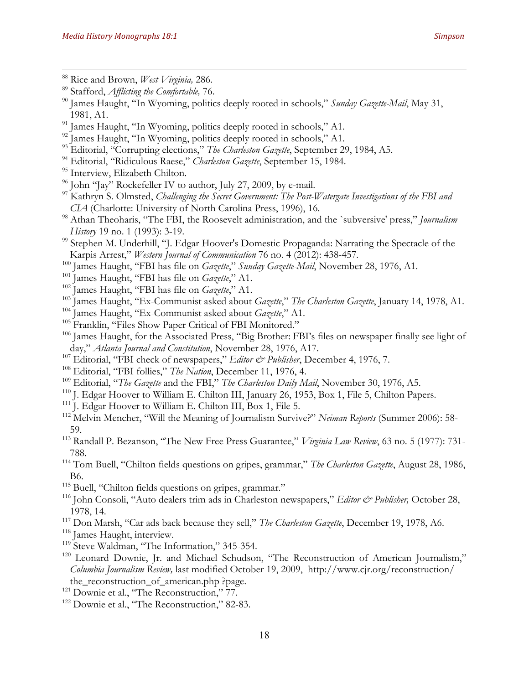- <sup>91</sup> James Haught, "In Wyoming, politics deeply rooted in schools," A1.
- <sup>92</sup> James Haught, "In Wyoming, politics deeply rooted in schools," A1.
- <sup>93</sup> Editorial, "Corrupting elections," *The Charleston Gazette*, September 29, 1984, A5.
- <sup>94</sup> Editorial, "Ridiculous Raese," *Charleston Gazette*, September 15, 1984.
- <sup>95</sup> Interview, Elizabeth Chilton.
- <sup>96</sup> John "Jay" Rockefeller IV to author, July 27, 2009, by e-mail.
- <sup>97</sup> Kathryn S. Olmsted, *Challenging the Secret Government: The Post-Watergate Investigations of the FBI and CIA* (Charlotte: University of North Carolina Press, 1996), 16.
- <sup>98</sup> Athan Theoharis, "The FBI, the Roosevelt administration, and the `subversive' press," *Journalism History* 19 no. 1 (1993): 3-19.
- <sup>99</sup> Stephen M. Underhill, "J. Edgar Hoover's Domestic Propaganda: Narrating the Spectacle of the Karpis Arrest," *Western Journal of Communication* 76 no. 4 (2012): 438-457.
- <sup>100</sup> James Haught, "FBI has file on *Gazette*," *Sunday Gazette-Mail*, November 28, 1976, A1.
- <sup>101</sup> James Haught, "FBI has file on *Gazette*," A1.
- <sup>102</sup> James Haught, "FBI has file on *Gazette*," A1.
- <sup>103</sup> James Haught, "Ex-Communist asked about *Gazette*," *The Charleston Gazette*, January 14, 1978, A1.
- <sup>104</sup> James Haught, "Ex-Communist asked about *Gazette*," A1.
- <sup>105</sup> Franklin, "Files Show Paper Critical of FBI Monitored."
- <sup>106</sup> James Haught, for the Associated Press, "Big Brother: FBI's files on newspaper finally see light of day," *Atlanta Journal and Constitution*, November 28, 1976, A17.
- <sup>107</sup> Editorial, "FBI check of newspapers," *Editor & Publisher*, December 4, 1976, 7.
- <sup>108</sup> Editorial, "FBI follies," *The Nation*, December 11, 1976, 4.
- <sup>109</sup> Editorial, "*The Gazette* and the FBI," *The Charleston Daily Mail*, November 30, 1976, A5.
- <sup>110</sup> J. Edgar Hoover to William E. Chilton III, January 26, 1953, Box 1, File 5, Chilton Papers.
- <sup>111</sup> J. Edgar Hoover to William E. Chilton III, Box 1, File 5.
- <sup>112</sup> Melvin Mencher, "Will the Meaning of Journalism Survive?" *Neiman Reports* (Summer 2006): 58- 59.
- <sup>113</sup> Randall P. Bezanson, "The New Free Press Guarantee," *Virginia Law Review*, 63 no. 5 (1977): 731- 788.
- <sup>114</sup> Tom Buell, "Chilton fields questions on gripes, grammar," *The Charleston Gazette*, August 28, 1986, B6.
- <sup>115</sup> Buell, "Chilton fields questions on gripes, grammar."
- <sup>116</sup> John Consoli, "Auto dealers trim ads in Charleston newspapers," *Editor & Publisher*, October 28, 1978, 14.
- <sup>117</sup> Don Marsh, "Car ads back because they sell," *The Charleston Gazette*, December 19, 1978, A6.
- <sup>118</sup> James Haught, interview.
- <sup>119</sup> Steve Waldman, "The Information," 345-354.
- <sup>120</sup> Leonard Downie, Jr. and Michael Schudson, "The Reconstruction of American Journalism," *Columbia Journalism Review,* last modified October 19, 2009, http://www.cjr.org/reconstruction/ the reconstruction of american.php ?page.
- <sup>121</sup> Downie et al., "The Reconstruction," 77.
- <sup>122</sup> Downie et al., "The Reconstruction," 82-83.

<sup>89</sup> Stafford, *Afflicting the Comfortable,* 76.

<sup>90</sup> James Haught, "In Wyoming, politics deeply rooted in schools," *Sunday Gazette-Mail*, May 31, 1981, A1.